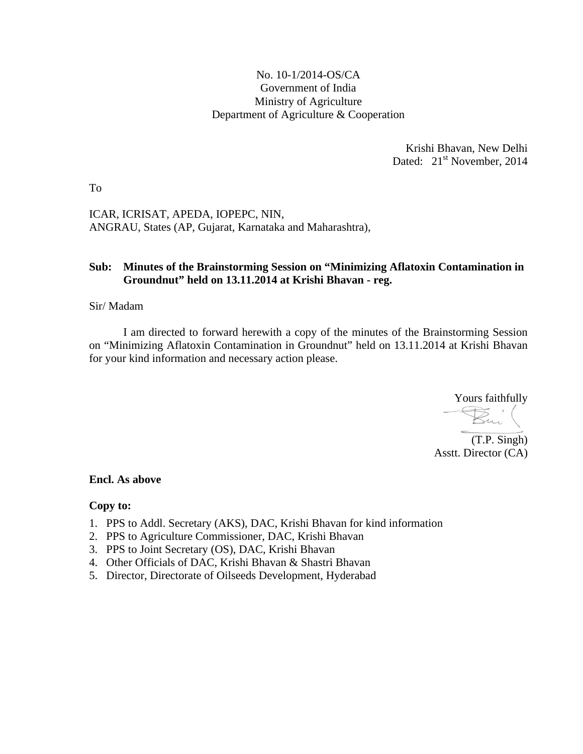## No. 10-1/2014-OS/CA Government of India Ministry of Agriculture Department of Agriculture & Cooperation

Krishi Bhavan, New Delhi Dated: 21<sup>st</sup> November, 2014

To

ICAR, ICRISAT, APEDA, IOPEPC, NIN, ANGRAU, States (AP, Gujarat, Karnataka and Maharashtra),

## **Sub: Minutes of the Brainstorming Session on "Minimizing Aflatoxin Contamination in Groundnut" held on 13.11.2014 at Krishi Bhavan - reg.**

### Sir/ Madam

I am directed to forward herewith a copy of the minutes of the Brainstorming Session on "Minimizing Aflatoxin Contamination in Groundnut" held on 13.11.2014 at Krishi Bhavan for your kind information and necessary action please.

Yours faithfully

(T.P. Singh) Asstt. Director (CA)

#### **Encl. As above**

#### **Copy to:**

- 1. PPS to Addl. Secretary (AKS), DAC, Krishi Bhavan for kind information
- 2. PPS to Agriculture Commissioner, DAC, Krishi Bhavan
- 3. PPS to Joint Secretary (OS), DAC, Krishi Bhavan
- 4. Other Officials of DAC, Krishi Bhavan & Shastri Bhavan
- 5. Director, Directorate of Oilseeds Development, Hyderabad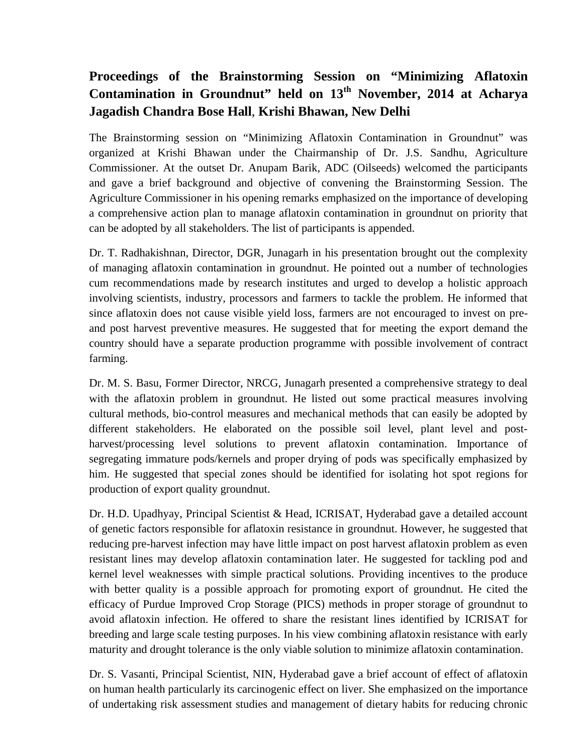# **Proceedings of the Brainstorming Session on "Minimizing Aflatoxin Contamination in Groundnut" held on 13th November, 2014 at Acharya Jagadish Chandra Bose Hall**, **Krishi Bhawan, New Delhi**

The Brainstorming session on "Minimizing Aflatoxin Contamination in Groundnut" was organized at Krishi Bhawan under the Chairmanship of Dr. J.S. Sandhu, Agriculture Commissioner. At the outset Dr. Anupam Barik, ADC (Oilseeds) welcomed the participants and gave a brief background and objective of convening the Brainstorming Session. The Agriculture Commissioner in his opening remarks emphasized on the importance of developing a comprehensive action plan to manage aflatoxin contamination in groundnut on priority that can be adopted by all stakeholders. The list of participants is appended.

Dr. T. Radhakishnan, Director, DGR, Junagarh in his presentation brought out the complexity of managing aflatoxin contamination in groundnut. He pointed out a number of technologies cum recommendations made by research institutes and urged to develop a holistic approach involving scientists, industry, processors and farmers to tackle the problem. He informed that since aflatoxin does not cause visible yield loss, farmers are not encouraged to invest on preand post harvest preventive measures. He suggested that for meeting the export demand the country should have a separate production programme with possible involvement of contract farming.

Dr. M. S. Basu, Former Director, NRCG, Junagarh presented a comprehensive strategy to deal with the aflatoxin problem in groundnut. He listed out some practical measures involving cultural methods, bio-control measures and mechanical methods that can easily be adopted by different stakeholders. He elaborated on the possible soil level, plant level and postharvest/processing level solutions to prevent aflatoxin contamination. Importance of segregating immature pods/kernels and proper drying of pods was specifically emphasized by him. He suggested that special zones should be identified for isolating hot spot regions for production of export quality groundnut.

Dr. H.D. Upadhyay, Principal Scientist & Head, ICRISAT, Hyderabad gave a detailed account of genetic factors responsible for aflatoxin resistance in groundnut. However, he suggested that reducing pre-harvest infection may have little impact on post harvest aflatoxin problem as even resistant lines may develop aflatoxin contamination later. He suggested for tackling pod and kernel level weaknesses with simple practical solutions. Providing incentives to the produce with better quality is a possible approach for promoting export of groundnut. He cited the efficacy of Purdue Improved Crop Storage (PICS) methods in proper storage of groundnut to avoid aflatoxin infection. He offered to share the resistant lines identified by ICRISAT for breeding and large scale testing purposes. In his view combining aflatoxin resistance with early maturity and drought tolerance is the only viable solution to minimize aflatoxin contamination.

Dr. S. Vasanti, Principal Scientist, NIN, Hyderabad gave a brief account of effect of aflatoxin on human health particularly its carcinogenic effect on liver. She emphasized on the importance of undertaking risk assessment studies and management of dietary habits for reducing chronic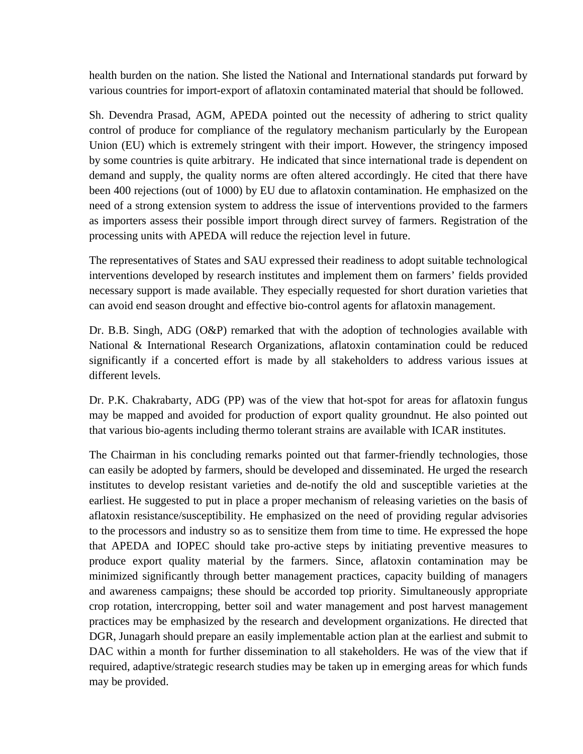health burden on the nation. She listed the National and International standards put forward by various countries for import-export of aflatoxin contaminated material that should be followed.

Sh. Devendra Prasad, AGM, APEDA pointed out the necessity of adhering to strict quality control of produce for compliance of the regulatory mechanism particularly by the European Union (EU) which is extremely stringent with their import. However, the stringency imposed by some countries is quite arbitrary. He indicated that since international trade is dependent on demand and supply, the quality norms are often altered accordingly. He cited that there have been 400 rejections (out of 1000) by EU due to aflatoxin contamination. He emphasized on the need of a strong extension system to address the issue of interventions provided to the farmers as importers assess their possible import through direct survey of farmers. Registration of the processing units with APEDA will reduce the rejection level in future.

The representatives of States and SAU expressed their readiness to adopt suitable technological interventions developed by research institutes and implement them on farmers' fields provided necessary support is made available. They especially requested for short duration varieties that can avoid end season drought and effective bio-control agents for aflatoxin management.

Dr. B.B. Singh, ADG (O&P) remarked that with the adoption of technologies available with National & International Research Organizations, aflatoxin contamination could be reduced significantly if a concerted effort is made by all stakeholders to address various issues at different levels.

Dr. P.K. Chakrabarty, ADG (PP) was of the view that hot-spot for areas for aflatoxin fungus may be mapped and avoided for production of export quality groundnut. He also pointed out that various bio-agents including thermo tolerant strains are available with ICAR institutes.

The Chairman in his concluding remarks pointed out that farmer-friendly technologies, those can easily be adopted by farmers, should be developed and disseminated. He urged the research institutes to develop resistant varieties and de-notify the old and susceptible varieties at the earliest. He suggested to put in place a proper mechanism of releasing varieties on the basis of aflatoxin resistance/susceptibility. He emphasized on the need of providing regular advisories to the processors and industry so as to sensitize them from time to time. He expressed the hope that APEDA and IOPEC should take pro-active steps by initiating preventive measures to produce export quality material by the farmers. Since, aflatoxin contamination may be minimized significantly through better management practices, capacity building of managers and awareness campaigns; these should be accorded top priority. Simultaneously appropriate crop rotation, intercropping, better soil and water management and post harvest management practices may be emphasized by the research and development organizations. He directed that DGR, Junagarh should prepare an easily implementable action plan at the earliest and submit to DAC within a month for further dissemination to all stakeholders. He was of the view that if required, adaptive/strategic research studies may be taken up in emerging areas for which funds may be provided.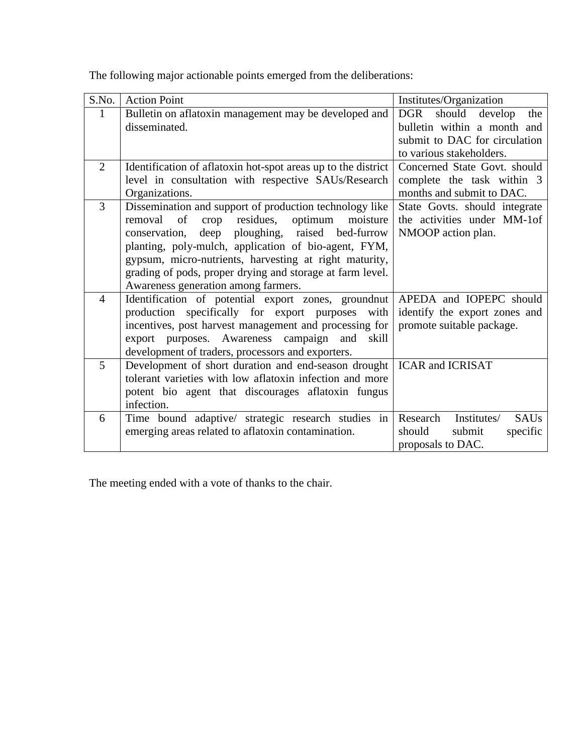| S.No.          | <b>Action Point</b>                                                                                              | Institutes/Organization                |
|----------------|------------------------------------------------------------------------------------------------------------------|----------------------------------------|
| $\mathbf{1}$   | Bulletin on aflatoxin management may be developed and                                                            | should<br>develop<br><b>DGR</b><br>the |
|                | disseminated.                                                                                                    | bulletin within a month and            |
|                |                                                                                                                  | submit to DAC for circulation          |
|                |                                                                                                                  | to various stakeholders.               |
| $\overline{2}$ | Identification of aflatoxin hot-spot areas up to the district                                                    | Concerned State Govt. should           |
|                | level in consultation with respective SAUs/Research                                                              | complete the task within 3             |
|                | Organizations.                                                                                                   | months and submit to DAC.              |
| 3              | Dissemination and support of production technology like                                                          | State Govts. should integrate          |
|                | residues,<br>removal<br>of<br>optimum<br>moisture<br>crop                                                        | the activities under MM-1of            |
|                | deep<br>ploughing,<br>raised bed-furrow<br>conservation,                                                         | NMOOP action plan.                     |
|                | planting, poly-mulch, application of bio-agent, FYM,                                                             |                                        |
|                | gypsum, micro-nutrients, harvesting at right maturity,                                                           |                                        |
|                | grading of pods, proper drying and storage at farm level.                                                        |                                        |
|                | Awareness generation among farmers.                                                                              |                                        |
| $\overline{4}$ | Identification of potential export zones, groundnut                                                              | APEDA and IOPEPC should                |
|                | production specifically for export purposes with                                                                 | identify the export zones and          |
|                | incentives, post harvest management and processing for                                                           | promote suitable package.              |
|                | export purposes. Awareness campaign and<br>skill                                                                 |                                        |
| $\overline{5}$ | development of traders, processors and exporters.                                                                |                                        |
|                | Development of short duration and end-season drought<br>tolerant varieties with low aflatoxin infection and more | <b>ICAR and ICRISAT</b>                |
|                |                                                                                                                  |                                        |
|                | potent bio agent that discourages aflatoxin fungus<br>infection.                                                 |                                        |
| 6              |                                                                                                                  | Institutes/<br>Research                |
|                | Time bound adaptive/ strategic research studies in                                                               | <b>SAUs</b><br>should                  |
|                | emerging areas related to aflatoxin contamination.                                                               | submit<br>specific                     |
|                |                                                                                                                  | proposals to DAC.                      |

The following major actionable points emerged from the deliberations:

The meeting ended with a vote of thanks to the chair.